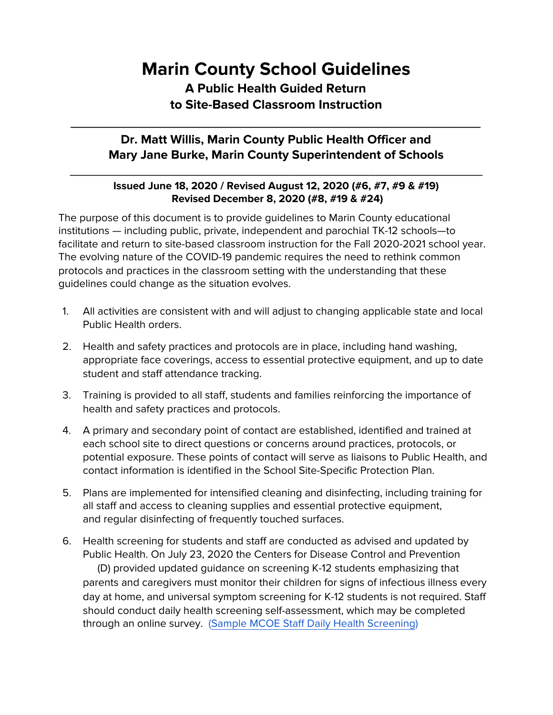## **Marin County School Guidelines A Public Health Guided Return to Site-Based Classroom Instruction**

## **Dr. Matt Willis, Marin County Public Health Officer and Mary Jane Burke, Marin County Superintendent of Schools**

\_\_\_\_\_\_\_\_\_\_\_\_\_\_\_\_\_\_\_\_\_\_\_\_\_\_\_\_\_\_\_\_\_\_\_\_\_\_\_\_\_\_\_\_\_\_

## **Issued June 18, 2020 / Revised August 12, 2020 (#6, #7, #9 & #19) Revised December 8, 2020 (#8, #19 & #24)**

\_\_\_\_\_\_\_\_\_\_\_\_\_\_\_\_\_\_\_\_\_\_\_\_\_\_\_\_\_\_\_\_\_\_\_\_\_\_\_\_\_\_\_\_\_\_\_\_\_\_\_\_\_\_

The purpose of this document is to provide guidelines to Marin County educational institutions — including public, private, independent and parochial TK-12 schools—to facilitate and return to site-based classroom instruction for the Fall 2020-2021 school year. The evolving nature of the COVID-19 pandemic requires the need to rethink common protocols and practices in the classroom setting with the understanding that these guidelines could change as the situation evolves.

- 1. All activities are consistent with and will adjust to changing applicable state and local Public Health orders.
- 2. Health and safety practices and protocols are in place, including hand washing, appropriate face coverings, access to essential protective equipment, and up to date student and staff attendance tracking.
- 3. Training is provided to all staff, students and families reinforcing the importance of health and safety practices and protocols.
- 4. A primary and secondary point of contact are established, identified and trained at each school site to direct questions or concerns around practices, protocols, or potential exposure. These points of contact will serve as liaisons to Public Health, and contact information is identified in the School Site-Specific Protection Plan.
- 5. Plans are implemented for intensified cleaning and disinfecting, including training for all staff and access to cleaning supplies and essential protective equipment, and regular disinfecting of frequently touched surfaces.
- 6. Health screening for students and staff are conducted as advised and updated by Public Health. On July 23, 2020 the Centers for Disease Control and Prevention (D) provided updated guidance on screening K-12 students emphasizing that parents and caregivers must monitor their children for signs of infectious illness every day at home, and universal symptom screening for K-12 students is not required. Staff should conduct daily health screening self-assessment, which may be completed through an online survey. ([Sample MCOE Staff Daily Health Screening](https://www.marinschools.org/cms/lib/CA01001323/Centricity/Domain/154/7.31.2020%20MCOE%20Staff%20Daily%20Health%20Screening%20Questions.pdf))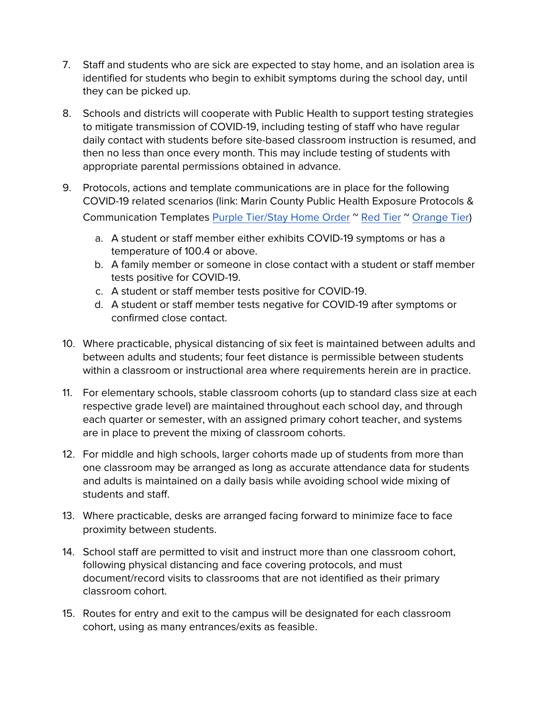- 7. Staff and students who are sick are expected to stay home, and an isolation area is identified for students who begin to exhibit symptoms during the school day, until they can be picked up.
- 8. Schools and districts will cooperate with Public Health to support testing strategies to mitigate transmission of COVID-19, including testing of staff who have regular daily contact with students before site-based classroom instruction is resumed, and then no less than once every month. This may include testing of students with appropriate parental permissions obtained in advance.
- 9. Protocols, actions and template communications are in place for the following COVID-19 related scenarios (link: [Marin County Public Health Exposure Pro](https://www.marinschools.org/cms/lib/CA01001323/Centricity/Domain/154/07-31-20%20Marin%20County%20Protocols%20Summary%20English.Spanish%20Combined.pdf)tocols & [Communication Templates](https://www.marinschools.org/cms/lib/CA01001323/Centricity/Domain/154/07-31-20%20Marin%20County%20Protocols%20Summary%20English.Spanish%20Combined.pdf) [Purple Tier/Stay Home Order](https://www.marinschools.org/cms/lib/CA01001323/Centricity/Domain/154/StayHome_Tier1_ExposureProtocols_12.8.20_English.Spanish.pdf) "[Red Tier](https://www.marinschools.org/cms/lib/CA01001323/Centricity/Domain/154/07-31-20%20Marin%20County%20Protocols%20Summary%20English.Spanish%20Combined.pdf) " [Orange Tier\)](https://www.marinschools.org/cms/lib/CA01001323/Centricity/Domain/154/Tier%203%20Exposure%20Protocols-%20En.Sp.pdf)
	- a. A student or staff member either exhibits COVID-19 symptoms or has a temperature of 100.4 or above.
	- b. A family member or someone in close contact with a student or staff member tests positive for COVID-19.
	- c. A student or staff member tests positive for COVID-19.
	- d. A student or staff member tests negative for COVID-19 after symptoms or confirmed close contact.
- 10. Where practicable, physical distancing of six feet is maintained between adults and between adults and students; four feet distance is permissible between students within a classroom or instructional area where requirements herein are in practice.
- 11. For elementary schools, stable classroom cohorts (up to standard class size at each respective grade level) are maintained throughout each school day, and through each quarter or semester, with an assigned primary cohort teacher, and systems are in place to prevent the mixing of classroom cohorts.
- 12. For middle and high schools, larger cohorts made up of students from more than one classroom may be arranged as long as accurate attendance data for students and adults is maintained on a daily basis while avoiding school wide mixing of students and staff.
- 13. Where practicable, desks are arranged facing forward to minimize face to face proximity between students.
- 14. School staff are permitted to visit and instruct more than one classroom cohort, following physical distancing and face covering protocols, and must document/record visits to classrooms that are not identified as their primary classroom cohort.
- 15. Routes for entry and exit to the campus will be designated for each classroom cohort, using as many entrances/exits as feasible.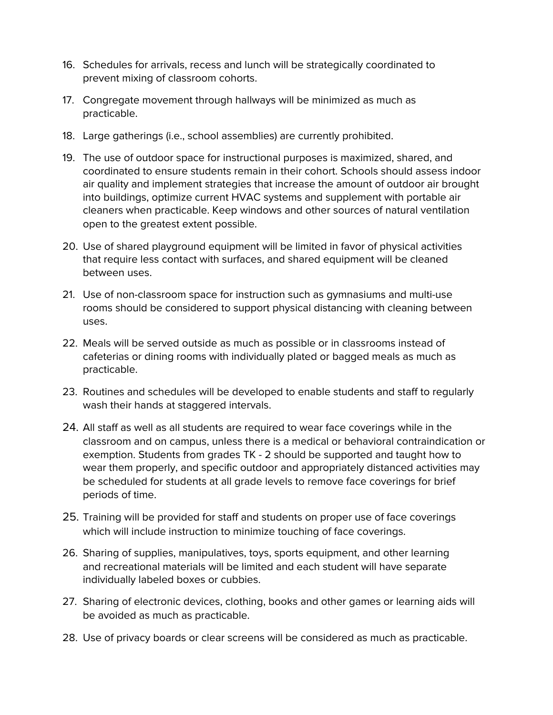- 16. Schedules for arrivals, recess and lunch will be strategically coordinated to prevent mixing of classroom cohorts.
- 17. Congregate movement through hallways will be minimized as much as practicable.
- 18. Large gatherings (i.e., school assemblies) are currently prohibited.
- 19. The use of outdoor space for instructional purposes is maximized, shared, and coordinated to ensure students remain in their cohort. Schools should assess indoor air quality and implement strategies that increase the amount of outdoor air brought into buildings, optimize current HVAC systems and supplement with portable air cleaners when practicable. Keep windows and other sources of natural ventilation open to the greatest extent possible.
- 20. Use of shared playground equipment will be limited in favor of physical activities that require less contact with surfaces, and shared equipment will be cleaned between uses.
- 21. Use of non-classroom space for instruction such as gymnasiums and multi-use rooms should be considered to support physical distancing with cleaning between uses.
- 22. Meals will be served outside as much as possible or in classrooms instead of cafeterias or dining rooms with individually plated or bagged meals as much as practicable.
- 23. Routines and schedules will be developed to enable students and staff to regularly wash their hands at staggered intervals.
- 24. All staff as well as all students are required to wear face coverings while in the classroom and on campus, unless there is a medical or behavioral contraindication or exemption. Students from grades TK - 2 should be supported and taught how to wear them properly, and specific outdoor and appropriately distanced activities may be scheduled for students at all grade levels to remove face coverings for brief periods of time.
- 25. Training will be provided for staff and students on proper use of face coverings which will include instruction to minimize touching of face coverings.
- 26. Sharing of supplies, manipulatives, toys, sports equipment, and other learning and recreational materials will be limited and each student will have separate individually labeled boxes or cubbies.
- 27. Sharing of electronic devices, clothing, books and other games or learning aids will be avoided as much as practicable.
- 28. Use of privacy boards or clear screens will be considered as much as practicable.